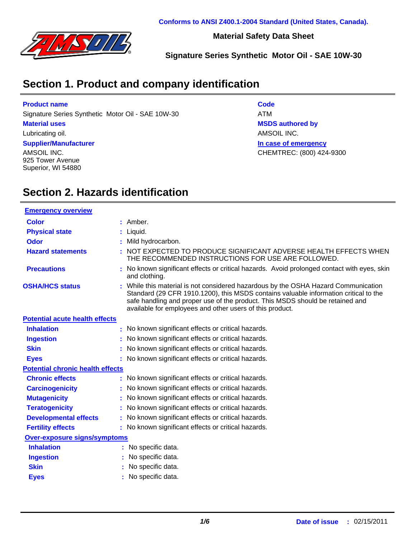

**Material Safety Data Sheet**

**Signature Series Synthetic Motor Oil - SAE 10W-30**

## **Section 1. Product and company identification**

#### **Product name**

Signature Series Synthetic Motor Oil - SAE 10W-30 ATM

#### **Material uses**

Lubricating oil.

#### **Supplier/Manufacturer**

AMSOIL INC. 925 Tower Avenue Superior, WI 54880 **Code In case of emergency MSDS authored by** AMSOIL INC. CHEMTREC: (800) 424-9300

### **Section 2. Hazards identification**

| <b>Emergency overview</b>               |                                                                                                                                                                                                                                                                                                                         |
|-----------------------------------------|-------------------------------------------------------------------------------------------------------------------------------------------------------------------------------------------------------------------------------------------------------------------------------------------------------------------------|
| Color                                   | : Amber.                                                                                                                                                                                                                                                                                                                |
| <b>Physical state</b>                   | : Liquid.                                                                                                                                                                                                                                                                                                               |
| <b>Odor</b>                             | : Mild hydrocarbon.                                                                                                                                                                                                                                                                                                     |
| <b>Hazard statements</b>                | : NOT EXPECTED TO PRODUCE SIGNIFICANT ADVERSE HEALTH EFFECTS WHEN<br>THE RECOMMENDED INSTRUCTIONS FOR USE ARE FOLLOWED.                                                                                                                                                                                                 |
| <b>Precautions</b>                      | : No known significant effects or critical hazards. Avoid prolonged contact with eyes, skin<br>and clothing.                                                                                                                                                                                                            |
| <b>OSHA/HCS status</b>                  | : While this material is not considered hazardous by the OSHA Hazard Communication<br>Standard (29 CFR 1910.1200), this MSDS contains valuable information critical to the<br>safe handling and proper use of the product. This MSDS should be retained and<br>available for employees and other users of this product. |
| <b>Potential acute health effects</b>   |                                                                                                                                                                                                                                                                                                                         |
| <b>Inhalation</b>                       | : No known significant effects or critical hazards.                                                                                                                                                                                                                                                                     |
| <b>Ingestion</b>                        | : No known significant effects or critical hazards.                                                                                                                                                                                                                                                                     |
| <b>Skin</b>                             | : No known significant effects or critical hazards.                                                                                                                                                                                                                                                                     |
| <b>Eyes</b>                             | : No known significant effects or critical hazards.                                                                                                                                                                                                                                                                     |
| <b>Potential chronic health effects</b> |                                                                                                                                                                                                                                                                                                                         |
| <b>Chronic effects</b>                  | : No known significant effects or critical hazards.                                                                                                                                                                                                                                                                     |
| <b>Carcinogenicity</b>                  | : No known significant effects or critical hazards.                                                                                                                                                                                                                                                                     |
| <b>Mutagenicity</b>                     | : No known significant effects or critical hazards.                                                                                                                                                                                                                                                                     |
| <b>Teratogenicity</b>                   | : No known significant effects or critical hazards.                                                                                                                                                                                                                                                                     |
| <b>Developmental effects</b>            | : No known significant effects or critical hazards.                                                                                                                                                                                                                                                                     |
| <b>Fertility effects</b>                | : No known significant effects or critical hazards.                                                                                                                                                                                                                                                                     |
| <b>Over-exposure signs/symptoms</b>     |                                                                                                                                                                                                                                                                                                                         |
| <b>Inhalation</b>                       | : No specific data.                                                                                                                                                                                                                                                                                                     |
| <b>Ingestion</b>                        | No specific data.                                                                                                                                                                                                                                                                                                       |
| <b>Skin</b>                             | No specific data.                                                                                                                                                                                                                                                                                                       |
| <b>Eyes</b>                             | No specific data.                                                                                                                                                                                                                                                                                                       |
|                                         |                                                                                                                                                                                                                                                                                                                         |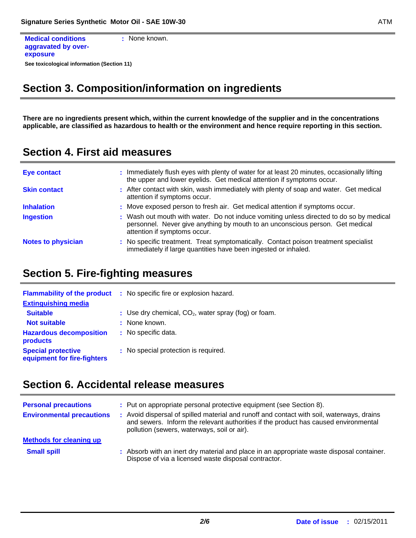```
See toxicological information (Section 11)
Medical conditions
aggravated by over-
exposure
                               : None known.
```
### **Section 3. Composition/information on ingredients**

**There are no ingredients present which, within the current knowledge of the supplier and in the concentrations applicable, are classified as hazardous to health or the environment and hence require reporting in this section.**

#### **Section 4. First aid measures**

| <b>Eye contact</b>        | : Immediately flush eyes with plenty of water for at least 20 minutes, occasionally lifting<br>the upper and lower eyelids. Get medical attention if symptoms occur.                                     |
|---------------------------|----------------------------------------------------------------------------------------------------------------------------------------------------------------------------------------------------------|
| <b>Skin contact</b>       | : After contact with skin, wash immediately with plenty of soap and water. Get medical<br>attention if symptoms occur.                                                                                   |
| <b>Inhalation</b>         | : Move exposed person to fresh air. Get medical attention if symptoms occur.                                                                                                                             |
| <b>Ingestion</b>          | : Wash out mouth with water. Do not induce vomiting unless directed to do so by medical<br>personnel. Never give anything by mouth to an unconscious person. Get medical<br>attention if symptoms occur. |
| <b>Notes to physician</b> | : No specific treatment. Treat symptomatically. Contact poison treatment specialist<br>immediately if large quantities have been ingested or inhaled.                                                    |

#### **Section 5. Fire-fighting measures**

| <b>Flammability of the product</b>                       | : No specific fire or explosion hazard.                |  |  |  |
|----------------------------------------------------------|--------------------------------------------------------|--|--|--|
| <b>Extinguishing media</b>                               |                                                        |  |  |  |
| <b>Suitable</b>                                          | : Use dry chemical, $CO2$ , water spray (fog) or foam. |  |  |  |
| <b>Not suitable</b>                                      | : None known.                                          |  |  |  |
| <b>Hazardous decomposition</b><br>products               | : No specific data.                                    |  |  |  |
| <b>Special protective</b><br>equipment for fire-fighters | : No special protection is required.                   |  |  |  |

#### **Section 6. Accidental release measures**

| <b>Personal precautions</b><br><b>Environmental precautions</b> | : Put on appropriate personal protective equipment (see Section 8).<br>: Avoid dispersal of spilled material and runoff and contact with soil, waterways, drains<br>and sewers. Inform the relevant authorities if the product has caused environmental<br>pollution (sewers, waterways, soil or air). |
|-----------------------------------------------------------------|--------------------------------------------------------------------------------------------------------------------------------------------------------------------------------------------------------------------------------------------------------------------------------------------------------|
| <b>Methods for cleaning up</b>                                  |                                                                                                                                                                                                                                                                                                        |
| <b>Small spill</b>                                              | : Absorb with an inert dry material and place in an appropriate waste disposal container.<br>Dispose of via a licensed waste disposal contractor.                                                                                                                                                      |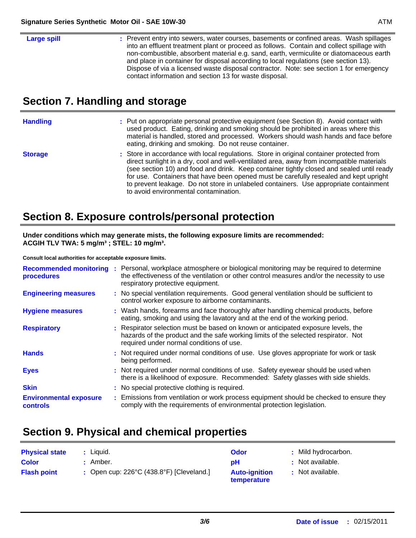## **Section 7. Handling and storage**

| <b>Handling</b> | : Put on appropriate personal protective equipment (see Section 8). Avoid contact with<br>used product. Eating, drinking and smoking should be prohibited in areas where this<br>material is handled, stored and processed. Workers should wash hands and face before<br>eating, drinking and smoking. Do not reuse container.                                                                                                                                                                                |
|-----------------|---------------------------------------------------------------------------------------------------------------------------------------------------------------------------------------------------------------------------------------------------------------------------------------------------------------------------------------------------------------------------------------------------------------------------------------------------------------------------------------------------------------|
| <b>Storage</b>  | : Store in accordance with local regulations. Store in original container protected from<br>direct sunlight in a dry, cool and well-ventilated area, away from incompatible materials<br>(see section 10) and food and drink. Keep container tightly closed and sealed until ready<br>for use. Containers that have been opened must be carefully resealed and kept upright<br>to prevent leakage. Do not store in unlabeled containers. Use appropriate containment<br>to avoid environmental contamination. |

## **Section 8. Exposure controls/personal protection**

**Under conditions which may generate mists, the following exposure limits are recommended: ACGIH TLV TWA: 5 mg/m³ ; STEL: 10 mg/m³.**

**Consult local authorities for acceptable exposure limits.**

| <b>Recommended monitoring</b><br>procedures | : Personal, workplace atmosphere or biological monitoring may be required to determine<br>the effectiveness of the ventilation or other control measures and/or the necessity to use<br>respiratory protective equipment. |
|---------------------------------------------|---------------------------------------------------------------------------------------------------------------------------------------------------------------------------------------------------------------------------|
| <b>Engineering measures</b>                 | : No special ventilation requirements. Good general ventilation should be sufficient to<br>control worker exposure to airborne contaminants.                                                                              |
| <b>Hygiene measures</b>                     | : Wash hands, forearms and face thoroughly after handling chemical products, before<br>eating, smoking and using the lavatory and at the end of the working period.                                                       |
| <b>Respiratory</b>                          | : Respirator selection must be based on known or anticipated exposure levels, the<br>hazards of the product and the safe working limits of the selected respirator. Not<br>required under normal conditions of use.       |
| <b>Hands</b>                                | : Not required under normal conditions of use. Use gloves appropriate for work or task<br>being performed.                                                                                                                |
| <b>Eyes</b>                                 | : Not required under normal conditions of use. Safety eyewear should be used when<br>there is a likelihood of exposure. Recommended: Safety glasses with side shields.                                                    |
| <b>Skin</b>                                 | : No special protective clothing is required.                                                                                                                                                                             |
| <b>Environmental exposure</b><br>controls   | : Emissions from ventilation or work process equipment should be checked to ensure they<br>comply with the requirements of environmental protection legislation.                                                          |

### **Section 9. Physical and chemical properties**

| <b>Physical state</b> | Liauid.                                            | <b>Odor</b>                         | : Mild hydrocarbon. |
|-----------------------|----------------------------------------------------|-------------------------------------|---------------------|
| <b>Color</b>          | : Amber.                                           | pH                                  | : Not available.    |
| <b>Flash point</b>    | : Open cup: $226^{\circ}$ C (438.8°F) [Cleveland.] | <b>Auto-ignition</b><br>temperature | : Not available.    |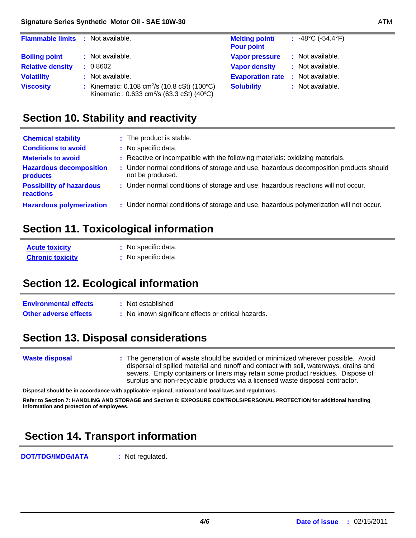| <b>Flammable limits : Not available.</b> |                                                                                                                   | <b>Melting point/</b><br><b>Pour point</b> | : $-48^{\circ}$ C ( $-54.4^{\circ}$ F) |
|------------------------------------------|-------------------------------------------------------------------------------------------------------------------|--------------------------------------------|----------------------------------------|
| <b>Boiling point</b>                     | : Not available.                                                                                                  | <b>Vapor pressure</b>                      | : Not available.                       |
| <b>Relative density</b>                  | : 0.8602                                                                                                          | <b>Vapor density</b>                       | : Not available.                       |
| <b>Volatility</b>                        | : Not available.                                                                                                  | <b>Evaporation rate: Not available.</b>    |                                        |
| <b>Viscosity</b>                         | : Kinematic: 0.108 cm <sup>2</sup> /s (10.8 cSt) (100°C)<br>Kinematic: 0.633 cm <sup>2</sup> /s (63.3 cSt) (40°C) | <b>Solubility</b>                          | : Not available.                       |

#### **Section 10. Stability and reactivity**

| <b>Chemical stability</b><br><b>Conditions to avoid</b><br><b>Materials to avoid</b><br><b>Hazardous decomposition</b><br>products | : The product is stable.<br>: No specific data.<br>: Reactive or incompatible with the following materials: oxidizing materials.<br>: Under normal conditions of storage and use, hazardous decomposition products should<br>not be produced. |
|------------------------------------------------------------------------------------------------------------------------------------|-----------------------------------------------------------------------------------------------------------------------------------------------------------------------------------------------------------------------------------------------|
| <b>Possibility of hazardous</b><br>reactions                                                                                       | : Under normal conditions of storage and use, hazardous reactions will not occur.                                                                                                                                                             |
| <b>Hazardous polymerization</b>                                                                                                    | : Under normal conditions of storage and use, hazardous polymerization will not occur.                                                                                                                                                        |

#### **Section 11. Toxicological information**

| <b>Acute toxicity</b>   | : No specific data. |
|-------------------------|---------------------|
| <b>Chronic toxicity</b> | : No specific data. |

### **Section 12. Ecological information**

| <b>Environmental effects</b> | : Not established                                   |
|------------------------------|-----------------------------------------------------|
| <b>Other adverse effects</b> | : No known significant effects or critical hazards. |

### **Section 13. Disposal considerations**

The generation of waste should be avoided or minimized wherever possible. Avoid **:** dispersal of spilled material and runoff and contact with soil, waterways, drains and sewers. Empty containers or liners may retain some product residues. Dispose of surplus and non-recyclable products via a licensed waste disposal contractor. **Waste disposal**

**Disposal should be in accordance with applicable regional, national and local laws and regulations.**

**Refer to Section 7: HANDLING AND STORAGE and Section 8: EXPOSURE CONTROLS/PERSONAL PROTECTION for additional handling information and protection of employees.**

# **Section 14. Transport information**

**DOT/TDG/IMDG/IATA :** Not regulated.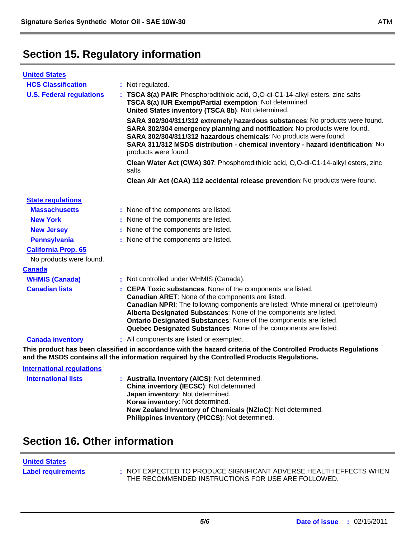# **Section 15. Regulatory information**

| <b>United States</b>             |                                                                                                                                                                                                                                                                                                                                                                                                                     |  |  |
|----------------------------------|---------------------------------------------------------------------------------------------------------------------------------------------------------------------------------------------------------------------------------------------------------------------------------------------------------------------------------------------------------------------------------------------------------------------|--|--|
| <b>HCS Classification</b>        | : Not regulated.                                                                                                                                                                                                                                                                                                                                                                                                    |  |  |
| <b>U.S. Federal regulations</b>  | : TSCA 8(a) PAIR: Phosphorodithioic acid, O,O-di-C1-14-alkyl esters, zinc salts<br>TSCA 8(a) IUR Exempt/Partial exemption: Not determined<br>United States inventory (TSCA 8b): Not determined.                                                                                                                                                                                                                     |  |  |
|                                  | SARA 302/304/311/312 extremely hazardous substances: No products were found.<br>SARA 302/304 emergency planning and notification: No products were found.<br>SARA 302/304/311/312 hazardous chemicals: No products were found.<br>SARA 311/312 MSDS distribution - chemical inventory - hazard identification: No<br>products were found.                                                                           |  |  |
|                                  | Clean Water Act (CWA) 307: Phosphorodithioic acid, O,O-di-C1-14-alkyl esters, zinc<br>salts                                                                                                                                                                                                                                                                                                                         |  |  |
|                                  | Clean Air Act (CAA) 112 accidental release prevention: No products were found.                                                                                                                                                                                                                                                                                                                                      |  |  |
| <b>State regulations</b>         |                                                                                                                                                                                                                                                                                                                                                                                                                     |  |  |
| <b>Massachusetts</b>             | : None of the components are listed.                                                                                                                                                                                                                                                                                                                                                                                |  |  |
| <b>New York</b>                  | : None of the components are listed.                                                                                                                                                                                                                                                                                                                                                                                |  |  |
| <b>New Jersey</b>                | : None of the components are listed.                                                                                                                                                                                                                                                                                                                                                                                |  |  |
| <b>Pennsylvania</b>              | : None of the components are listed.                                                                                                                                                                                                                                                                                                                                                                                |  |  |
| <b>California Prop. 65</b>       |                                                                                                                                                                                                                                                                                                                                                                                                                     |  |  |
| No products were found.          |                                                                                                                                                                                                                                                                                                                                                                                                                     |  |  |
| <b>Canada</b>                    |                                                                                                                                                                                                                                                                                                                                                                                                                     |  |  |
| <b>WHMIS (Canada)</b>            | : Not controlled under WHMIS (Canada).                                                                                                                                                                                                                                                                                                                                                                              |  |  |
| <b>Canadian lists</b>            | : CEPA Toxic substances: None of the components are listed.<br>Canadian ARET: None of the components are listed.<br>Canadian NPRI: The following components are listed: White mineral oil (petroleum)<br>Alberta Designated Substances: None of the components are listed.<br>Ontario Designated Substances: None of the components are listed.<br>Quebec Designated Substances: None of the components are listed. |  |  |
| <b>Canada inventory</b>          | : All components are listed or exempted.                                                                                                                                                                                                                                                                                                                                                                            |  |  |
|                                  | This product has been classified in accordance with the hazard criteria of the Controlled Products Regulations<br>and the MSDS contains all the information required by the Controlled Products Regulations.                                                                                                                                                                                                        |  |  |
| <b>International regulations</b> |                                                                                                                                                                                                                                                                                                                                                                                                                     |  |  |
| <b>International lists</b>       | : Australia inventory (AICS): Not determined.<br>China inventory (IECSC): Not determined.<br>Japan inventory: Not determined.<br>Korea inventory: Not determined.<br>New Zealand Inventory of Chemicals (NZIoC): Not determined.<br>Philippines inventory (PICCS): Not determined.                                                                                                                                  |  |  |

### **Section 16. Other information**

# **United States**

Label requirements : NOT EXPECTED TO PRODUCE SIGNIFICANT ADVERSE HEALTH EFFECTS WHEN THE RECOMMENDED INSTRUCTIONS FOR USE ARE FOLLOWED.